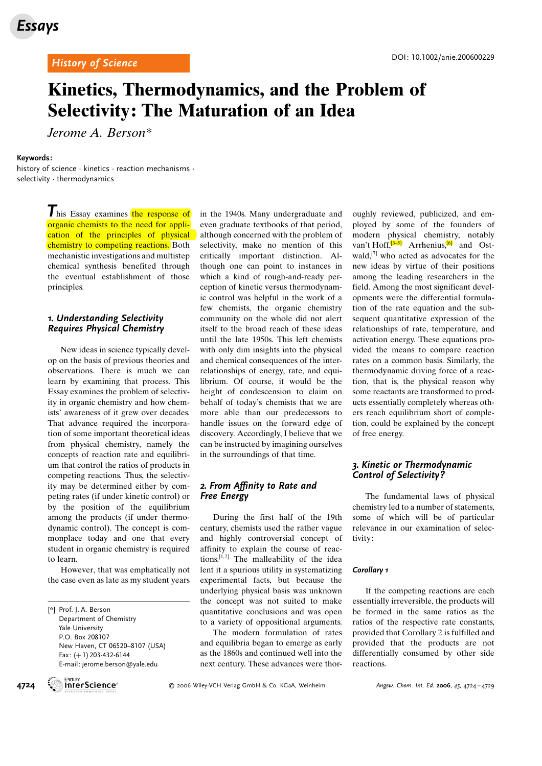# Kinetics, Thermodynamics, and the Problem of Selectivity: The Maturation of an Idea

Jerome A. Berson\*

#### Keywords:

history of science · kinetics · reaction mechanisms · selectivity · thermodynamics

> **This Essay examines** the response of organic chemists to the need for application of the principles of physical chemistry to competing reactions. Both mechanistic investigations and multistep chemical synthesis benefited through the eventual establishment of those principles.

#### 1. Understanding Selectivity Requires Physical Chemistry

New ideas in science typically develop on the basis of previous theories and observations. There is much we can learn by examining that process. This Essay examines the problem of selectivity in organic chemistry and how chemists' awareness of it grew over decades. That advance required the incorporation of some important theoretical ideas from physical chemistry, namely the concepts of reaction rate and equilibrium that control the ratios of products in competing reactions. Thus, the selectivity may be determined either by competing rates (if under kinetic control) or by the position of the equilibrium among the products (if under thermodynamic control). The concept is commonplace today and one that every student in organic chemistry is required to learn.

However, that was emphatically not the case even as late as my student years

[\*] Prof. J. A. Berson Department of Chemistry Yale University P.O. Box 208107 New Haven, CT 06520–8107 (USA) Fax: (+1) 203-432-6144 E-mail: jerome.berson@yale.edu

in the 1940s. Many undergraduate and even graduate textbooks of that period, although concerned with the problem of selectivity, make no mention of this critically important distinction. Although one can point to instances in which a kind of rough-and-ready perception of kinetic versus thermodynamic control was helpful in the work of a few chemists, the organic chemistry community on the whole did not alert itself to the broad reach of these ideas until the late 1950s. This left chemists with only dim insights into the physical and chemical consequences of the interrelationships of energy, rate, and equilibrium. Of course, it would be the height of condescension to claim on behalf of today's chemists that we are more able than our predecessors to handle issues on the forward edge of discovery. Accordingly, I believe that we can be instructed by imagining ourselves in the surroundings of that time.

#### 2. From Affinity to Rate and Free Energy

During the first half of the 19th century, chemists used the rather vague and highly controversial concept of affinity to explain the course of reactions.<sup>[1,2]</sup> The malleability of the idea lent it a spurious utility in systematizing experimental facts, but because the underlying physical basis was unknown the concept was not suited to make quantitative conclusions and was open to a variety of oppositional arguments.

The modern formulation of rates and equilibria began to emerge as early as the 1860s and continued well into the next century. These advances were thoroughly reviewed, publicized, and employed by some of the founders of modern physical chemistry, notably van't Hoff,<sup> $[3-5]$ </sup> Arrhenius,<sup> $[6]$ </sup> and Ostwald.<sup>[7]</sup> who acted as advocates for the new ideas by virtue of their positions among the leading researchers in the field. Among the most significant developments were the differential formulation of the rate equation and the subsequent quantitative expression of the relationships of rate, temperature, and activation energy. These equations provided the means to compare reaction rates on a common basis. Similarly, the thermodynamic driving force of a reaction, that is, the physical reason why some reactants are transformed to products essentially completely whereas others reach equilibrium short of completion, could be explained by the concept of free energy.

#### 3. Kinetic or Thermodynamic Control of Selectivity?

The fundamental laws of physical chemistry led to a number of statements, some of which will be of particular relevance in our examination of selectivity:

#### Corollary 1

If the competing reactions are each essentially irreversible, the products will be formed in the same ratios as the ratios of the respective rate constants, provided that Corollary 2 is fulfilled and provided that the products are not differentially consumed by other side reactions.

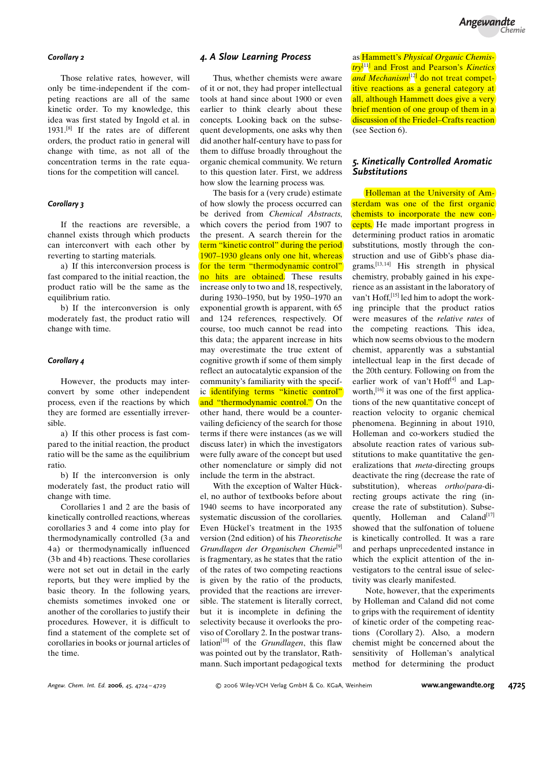#### Corollary 2

Those relative rates, however, will only be time-independent if the competing reactions are all of the same kinetic order. To my knowledge, this idea was first stated by Ingold et al. in 1931.[8] If the rates are of different orders, the product ratio in general will change with time, as not all of the concentration terms in the rate equations for the competition will cancel.

#### Corollary 3

If the reactions are reversible, a channel exists through which products can interconvert with each other by reverting to starting materials.

a) If this interconversion process is fast compared to the initial reaction, the product ratio will be the same as the equilibrium ratio.

b) If the interconversion is only moderately fast, the product ratio will change with time.

#### Corollary 4

However, the products may interconvert by some other independent process, even if the reactions by which they are formed are essentially irreversible.

a) If this other process is fast compared to the initial reaction, the product ratio will be the same as the equilibrium ratio.

b) If the interconversion is only moderately fast, the product ratio will change with time.

Corollaries 1 and 2 are the basis of kinetically controlled reactions, whereas corollaries 3 and 4 come into play for thermodynamically controlled (3 a and 4 a) or thermodynamically influenced (3 b and 4 b) reactions. These corollaries were not set out in detail in the early reports, but they were implied by the basic theory. In the following years, chemists sometimes invoked one or another of the corollaries to justify their procedures. However, it is difficult to find a statement of the complete set of corollaries in books or journal articles of the time.

#### 4. A Slow Learning Process

Thus, whether chemists were aware of it or not, they had proper intellectual tools at hand since about 1900 or even earlier to think clearly about these concepts. Looking back on the subsequent developments, one asks why then did another half-century have to pass for them to diffuse broadly throughout the organic chemical community. We return to this question later. First, we address how slow the learning process was.

The basis for a (very crude) estimate of how slowly the process occurred can be derived from Chemical Abstracts, which covers the period from 1907 to the present. A search therein for the term "kinetic control" during the period 1907–1930 gleans only one hit, whereas for the term "thermodynamic control" no hits are obtained. These results increase only to two and 18, respectively, during 1930–1950, but by 1950–1970 an exponential growth is apparent, with 65 and 124 references, respectively. Of course, too much cannot be read into this data; the apparent increase in hits may overestimate the true extent of cognitive growth if some of them simply reflect an autocatalytic expansion of the community's familiarity with the specific identifying terms "kinetic control" and "thermodynamic control." On the other hand, there would be a countervailing deficiency of the search for those terms if there were instances (as we will discuss later) in which the investigators were fully aware of the concept but used other nomenclature or simply did not include the term in the abstract.

With the exception of Walter Hückel, no author of textbooks before about 1940 seems to have incorporated any systematic discussion of the corollaries. Even Hückel's treatment in the 1935 version (2nd edition) of his Theoretische Grundlagen der Organischen Chemie<sup>[9]</sup> is fragmentary, as he states that the ratio of the rates of two competing reactions is given by the ratio of the products, provided that the reactions are irreversible. The statement is literally correct, but it is incomplete in defining the selectivity because it overlooks the proviso of Corollary 2. In the postwar translation<sup>[10]</sup> of the *Grundlagen*, this flaw was pointed out by the translator, Rathmann. Such important pedagogical texts as Hammett's Physical Organic Chemis $trv^{[11]}$  and Frost and Pearson's *Kinetics*  $\alpha$  and Mechanism<sup>[12]</sup> do not treat competitive reactions as a general category at all, although Hammett does give a very brief mention of one group of them in a discussion of the Friedel–Crafts reaction (see Section 6).

#### 5. Kinetically Controlled Aromatic Substitutions

Holleman at the University of Amsterdam was one of the first organic chemists to incorporate the new concepts. He made important progress in determining product ratios in aromatic substitutions, mostly through the construction and use of Gibb's phase diagrams.[13, 14] His strength in physical chemistry, probably gained in his experience as an assistant in the laboratory of van't Hoff,<sup>[15]</sup> led him to adopt the working principle that the product ratios were measures of the relative rates of the competing reactions. This idea, which now seems obvious to the modern chemist, apparently was a substantial intellectual leap in the first decade of the 20th century. Following on from the earlier work of van't  $Hoff^{[4]}$  and Lapworth, $^{[16]}$  it was one of the first applications of the new quantitative concept of reaction velocity to organic chemical phenomena. Beginning in about 1910, Holleman and co-workers studied the absolute reaction rates of various substitutions to make quantitative the generalizations that *meta*-directing groups deactivate the ring (decrease the rate of substitution), whereas ortho/para-directing groups activate the ring (increase the rate of substitution). Subsequently, Holleman and Caland<sup>[17]</sup> showed that the sulfonation of toluene is kinetically controlled. It was a rare and perhaps unprecedented instance in which the explicit attention of the investigators to the central issue of selectivity was clearly manifested.

Note, however, that the experiments by Holleman and Caland did not come to grips with the requirement of identity of kinetic order of the competing reactions (Corollary 2). Also, a modern chemist might be concerned about the sensitivity of Holleman's analytical method for determining the product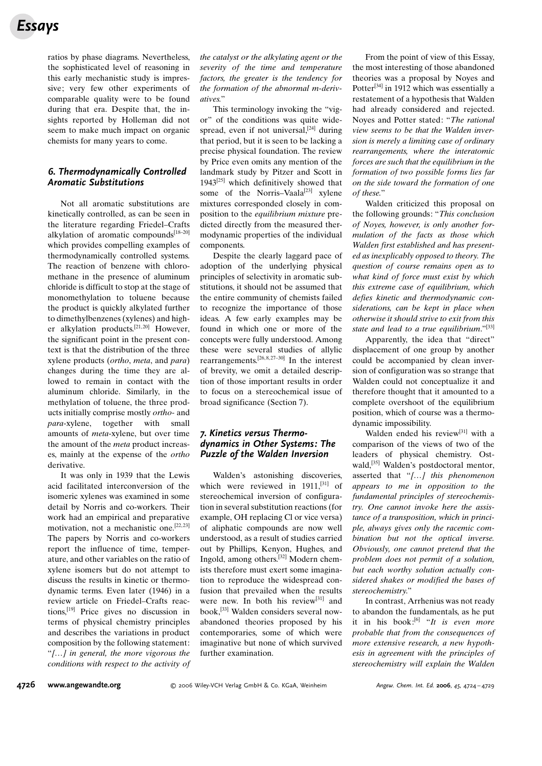ratios by phase diagrams. Nevertheless, the sophisticated level of reasoning in this early mechanistic study is impressive; very few other experiments of comparable quality were to be found during that era. Despite that, the insights reported by Holleman did not seem to make much impact on organic chemists for many years to come.

#### 6. Thermodynamically Controlled Aromatic Substitutions

Not all aromatic substitutions are kinetically controlled, as can be seen in the literature regarding Friedel–Crafts alkylation of aromatic compounds $[18-20]$ which provides compelling examples of thermodynamically controlled systems. The reaction of benzene with chloromethane in the presence of aluminum chloride is difficult to stop at the stage of monomethylation to toluene because the product is quickly alkylated further to dimethylbenzenes (xylenes) and higher alkylation products.<sup>[21, 20]</sup> However, the significant point in the present context is that the distribution of the three xylene products (ortho, meta, and para) changes during the time they are allowed to remain in contact with the aluminum chloride. Similarly, in the methylation of toluene, the three products initially comprise mostly ortho- and para-xylene, together with small amounts of meta-xylene, but over time the amount of the meta product increases, mainly at the expense of the ortho derivative.

It was only in 1939 that the Lewis acid facilitated interconversion of the isomeric xylenes was examined in some detail by Norris and co-workers. Their work had an empirical and preparative motivation, not a mechanistic one.<sup>[22,23]</sup> The papers by Norris and co-workers report the influence of time, temperature, and other variables on the ratio of xylene isomers but do not attempt to discuss the results in kinetic or thermodynamic terms. Even later (1946) in a review article on Friedel–Crafts reactions,[19] Price gives no discussion in terms of physical chemistry principles and describes the variations in product composition by the following statement: "[…] in general, the more vigorous the conditions with respect to the activity of

the catalyst or the alkylating agent or the severity of the time and temperature factors, the greater is the tendency for the formation of the abnormal m-derivatives."

This terminology invoking the "vigor" of the conditions was quite widespread, even if not universal, $[24]$  during that period, but it is seen to be lacking a precise physical foundation. The review by Price even omits any mention of the landmark study by Pitzer and Scott in  $1943^{[25]}$  which definitively showed that some of the Norris–Vaala<sup>[23]</sup> xylene mixtures corresponded closely in composition to the equilibrium mixture predicted directly from the measured thermodynamic properties of the individual components.

Despite the clearly laggard pace of adoption of the underlying physical principles of selectivity in aromatic substitutions, it should not be assumed that the entire community of chemists failed to recognize the importance of those ideas. A few early examples may be found in which one or more of the concepts were fully understood. Among these were several studies of allylic rearrangements.<sup>[26, 8, 27–30]</sup> In the interest of brevity, we omit a detailed description of those important results in order to focus on a stereochemical issue of broad significance (Section 7).

#### 7. Kinetics versus Thermodynamics in Other Systems: The Puzzle of the Walden Inversion

Walden's astonishing discoveries, which were reviewed in 1911.<sup>[31]</sup> of stereochemical inversion of configuration in several substitution reactions (for example, OH replacing Cl or vice versa) of aliphatic compounds are now well understood, as a result of studies carried out by Phillips, Kenyon, Hughes, and Ingold, among others.[32] Modern chemists therefore must exert some imagination to reproduce the widespread confusion that prevailed when the results were new. In both his review<sup>[31]</sup> and book,[33] Walden considers several nowabandoned theories proposed by his contemporaries, some of which were imaginative but none of which survived further examination.

From the point of view of this Essay, the most interesting of those abandoned theories was a proposal by Noyes and Potter<sup>[34]</sup> in 1912 which was essentially a restatement of a hypothesis that Walden had already considered and rejected. Noyes and Potter stated: "The rational view seems to be that the Walden inversion is merely a limiting case of ordinary rearrangements, where the interatomic forces are such that the equilibrium in the formation of two possible forms lies far on the side toward the formation of one of these."

Walden criticized this proposal on the following grounds: "This conclusion of Noyes, however, is only another formulation of the facts as those which Walden first established and has presented as inexplicably opposed to theory. The question of course remains open as to what kind of force must exist by which this extreme case of equilibrium, which defies kinetic and thermodynamic considerations, can be kept in place when otherwise it should strive to exit from this state and lead to a true equilibrium." $[33]$ 

Apparently, the idea that "direct" displacement of one group by another could be accompanied by clean inversion of configuration was so strange that Walden could not conceptualize it and therefore thought that it amounted to a complete overshoot of the equilibrium position, which of course was a thermodynamic impossibility.

Walden ended his review[31] with a comparison of the views of two of the leaders of physical chemistry. Ostwald.<sup>[35]</sup> Walden's postdoctoral mentor, asserted that "[...] this phenomenon appears to me in opposition to the fundamental principles of stereochemistry. One cannot invoke here the assistance of a transposition, which in principle, always gives only the racemic combination but not the optical inverse. Obviously, one cannot pretend that the problem does not permit of a solution, but each worthy solution actually considered shakes or modified the bases of stereochemistry."

In contrast, Arrhenius was not ready to abandon the fundamentals, as he put it in his book:[6] "It is even more probable that from the consequences of more extensive research, a new hypothesis in agreement with the principles of stereochemistry will explain the Walden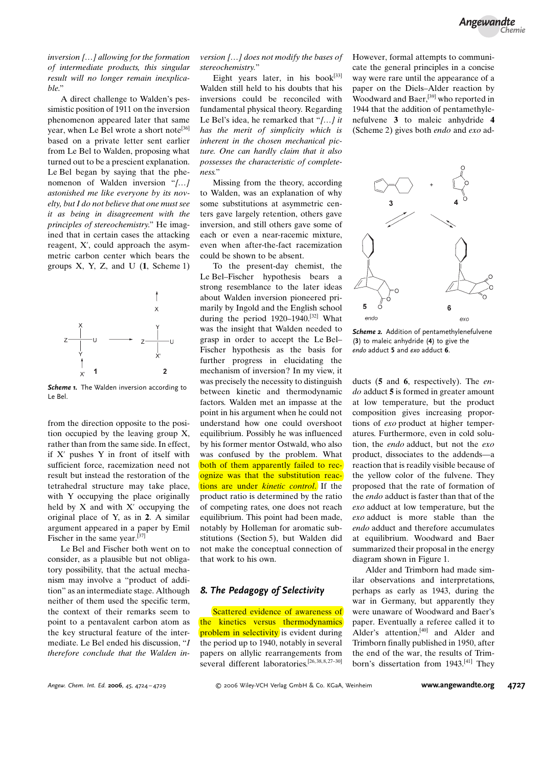inversion […] allowing for the formation of intermediate products, this singular result will no longer remain inexplicable."

A direct challenge to Walden's pessimistic position of 1911 on the inversion phenomenon appeared later that same year, when Le Bel wrote a short note<sup>[36]</sup> based on a private letter sent earlier from Le Bel to Walden, proposing what turned out to be a prescient explanation. Le Bel began by saying that the phenomenon of Walden inversion "[...] astonished me like everyone by its novelty, but I do not believe that one must see it as being in disagreement with the principles of stereochemistry." He imagined that in certain cases the attacking reagent, X', could approach the asymmetric carbon center which bears the groups  $X$ ,  $Y$ ,  $Z$ , and  $U$  (1, Scheme 1)



Scheme 1. The Walden inversion according to Le Bel.

from the direction opposite to the position occupied by the leaving group X, rather than from the same side. In effect, if X' pushes Y in front of itself with sufficient force, racemization need not result but instead the restoration of the tetrahedral structure may take place, with Y occupying the place originally held by  $X$  and with  $X'$  occupying the original place of Y, as in 2. A similar argument appeared in a paper by Emil Fischer in the same year.<sup>[37]</sup>

Le Bel and Fischer both went on to consider, as a plausible but not obligatory possibility, that the actual mechanism may involve a "product of addition" as an intermediate stage. Although neither of them used the specific term, the context of their remarks seem to point to a pentavalent carbon atom as the key structural feature of the intermediate. Le Bel ended his discussion, "I therefore conclude that the Walden inversion […] does not modify the bases of stereochemistry."

Eight years later, in his book $[33]$ Walden still held to his doubts that his inversions could be reconciled with fundamental physical theory. Regarding Le Bel's idea, he remarked that " $[...]$  it has the merit of simplicity which is inherent in the chosen mechanical picture. One can hardly claim that it also possesses the characteristic of completeness."

Missing from the theory, according to Walden, was an explanation of why some substitutions at asymmetric centers gave largely retention, others gave inversion, and still others gave some of each or even a near-racemic mixture, even when after-the-fact racemization could be shown to be absent.

To the present-day chemist, the Le Bel–Fischer hypothesis bears a strong resemblance to the later ideas about Walden inversion pioneered primarily by Ingold and the English school during the period  $1920-1940$ .<sup>[32]</sup> What was the insight that Walden needed to grasp in order to accept the Le Bel– Fischer hypothesis as the basis for further progress in elucidating the mechanism of inversion? In my view, it was precisely the necessity to distinguish between kinetic and thermodynamic factors. Walden met an impasse at the point in his argument when he could not understand how one could overshoot equilibrium. Possibly he was influenced by his former mentor Ostwald, who also was confused by the problem. What both of them apparently failed to recognize was that the substitution reactions are under *kinetic control*. If the product ratio is determined by the ratio of competing rates, one does not reach equilibrium. This point had been made, notably by Holleman for aromatic substitutions (Section 5), but Walden did not make the conceptual connection of that work to his own.

#### 8. The Pedagogy of Selectivity

Scattered evidence of awareness of the kinetics versus thermodynamics problem in selectivity is evident during the period up to 1940, notably in several papers on allylic rearrangements from several different laboratories.<sup>[26, 38, 8, 27-30]</sup>

However, formal attempts to communicate the general principles in a concise way were rare until the appearance of a paper on the Diels–Alder reaction by Woodward and Baer,  $^{[39]}$  who reported in 1944 that the addition of pentamethylenefulvene 3 to maleic anhydride 4 (Scheme 2) gives both endo and exo ad-



Scheme 2. Addition of pentamethylenefulvene (3) to maleic anhydride (4) to give the endo adduct 5 and exo adduct 6.

ducts (5 and 6, respectively). The endo adduct 5 is formed in greater amount at low temperature, but the product composition gives increasing proportions of exo product at higher temperatures. Furthermore, even in cold solution, the endo adduct, but not the exo product, dissociates to the addends—a reaction that is readily visible because of the yellow color of the fulvene. They proposed that the rate of formation of the endo adduct is faster than that of the exo adduct at low temperature, but the exo adduct is more stable than the endo adduct and therefore accumulates at equilibrium. Woodward and Baer summarized their proposal in the energy diagram shown in Figure 1.

Alder and Trimborn had made similar observations and interpretations, perhaps as early as 1943, during the war in Germany, but apparently they were unaware of Woodward and Baer's paper. Eventually a referee called it to Alder's attention, $[40]$  and Alder and Trimborn finally published in 1950, after the end of the war, the results of Trimborn's dissertation from 1943.<sup>[41]</sup> They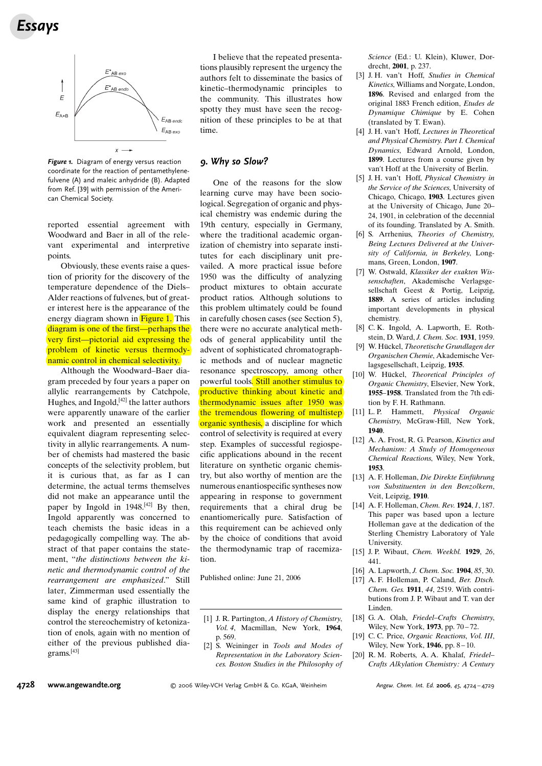



Figure 1. Diagram of energy versus reaction coordinate for the reaction of pentamethylenefulvene (A) and maleic anhydride (B). Adapted from Ref. [39] with permission of the American Chemical Society.

reported essential agreement with Woodward and Baer in all of the relevant experimental and interpretive points.

Obviously, these events raise a question of priority for the discovery of the temperature dependence of the Diels– Alder reactions of fulvenes, but of greater interest here is the appearance of the energy diagram shown in Figure 1. This diagram is one of the first—perhaps the very first—pictorial aid expressing the problem of kinetic versus thermodynamic control in chemical selectivity.

Although the Woodward–Baer diagram preceded by four years a paper on allylic rearrangements by Catchpole, Hughes, and Ingold, $[42]$  the latter authors were apparently unaware of the earlier work and presented an essentially equivalent diagram representing selectivity in allylic rearrangements. A number of chemists had mastered the basic concepts of the selectivity problem, but it is curious that, as far as I can determine, the actual terms themselves did not make an appearance until the paper by Ingold in  $1948$ <sup>[42]</sup> By then, Ingold apparently was concerned to teach chemists the basic ideas in a pedagogically compelling way. The abstract of that paper contains the statement, "the distinctions between the kinetic and thermodynamic control of the rearrangement are emphasized." Still later, Zimmerman used essentially the same kind of graphic illustration to display the energy relationships that control the stereochemistry of ketonization of enols, again with no mention of either of the previous published diagrams.[43]

I believe that the repeated presentations plausibly represent the urgency the authors felt to disseminate the basics of kinetic–thermodynamic principles to the community. This illustrates how spotty they must have seen the recognition of these principles to be at that time.

#### 9. Why so Slow?

One of the reasons for the slow learning curve may have been sociological. Segregation of organic and physical chemistry was endemic during the 19th century, especially in Germany, where the traditional academic organization of chemistry into separate institutes for each disciplinary unit prevailed. A more practical issue before 1950 was the difficulty of analyzing product mixtures to obtain accurate product ratios. Although solutions to this problem ultimately could be found in carefully chosen cases (see Section 5), there were no accurate analytical methods of general applicability until the advent of sophisticated chromatographic methods and of nuclear magnetic resonance spectroscopy, among other powerful tools. Still another stimulus to productive thinking about kinetic and thermodynamic issues after 1950 was the tremendous flowering of multistep organic synthesis, a discipline for which control of selectivity is required at every step. Examples of successful regiospecific applications abound in the recent literature on synthetic organic chemistry, but also worthy of mention are the numerous enantiospecific syntheses now appearing in response to government requirements that a chiral drug be enantiomerically pure. Satisfaction of this requirement can be achieved only by the choice of conditions that avoid the thermodynamic trap of racemization.

Published online: June 21, 2006

[2] S. Weininger in Tools and Modes of Representation in the Laboratory Sciences. Boston Studies in the Philosophy of Science (Ed.: U. Klein), Kluwer, Dordrecht, 2001, p. 237.

- [3] J. H. van't Hoff, Studies in Chemical Kinetics, Williams and Norgate, London, 1896. Revised and enlarged from the original 1883 French edition, Etudes de Dynamique Chimique by E. Cohen (translated by T. Ewan).
- [4] J. H. van't Hoff, Lectures in Theoretical and Physical Chemistry. Part I. Chemical Dynamics, Edward Arnold, London, 1899. Lectures from a course given by van't Hoff at the University of Berlin.
- [5] J. H. van't Hoff, Physical Chemistry in the Service of the Sciences, University of Chicago, Chicago, 1903. Lectures given at the University of Chicago, June 20– 24, 1901, in celebration of the decennial of its founding. Translated by A. Smith.
- [6] S. Arrhenius, Theories of Chemistry, Being Lectures Delivered at the University of California, in Berkeley, Longmans, Green, London, 1907.
- [7] W. Ostwald, Klassiker der exakten Wissenschaften, Akademische Verlagsgesellschaft Geest & Portig, Leipzig, 1889. A series of articles including important developments in physical chemistry.
- [8] C. K. Ingold, A. Lapworth, E. Rothstein, D. Ward, J. Chem. Soc. 1931, 1959.
- W. Hückel, Theoretische Grundlagen der Organischen Chemie, Akademische Verlagsgesellschaft, Leipzig, 1935.
- [10] W. Hückel, Theoretical Principles of Organic Chemistry, Elsevier, New York, 1955–1958. Translated from the 7th edition by F. H. Rathmann.
- [11] L. P. Hammett, Physical Organic Chemistry, McGraw-Hill, New York, 1940.
- [12] A. A. Frost, R. G. Pearson, Kinetics and Mechanism: A Study of Homogeneous Chemical Reactions, Wiley, New York, 1953.
- [13] A. F. Holleman, Die Direkte Einführung von Substituenten in den Benzolkern, Veit, Leipzig, 1910.
- [14] A. F. Holleman, *Chem. Rev.* **1924**, *1*, 187. This paper was based upon a lecture Holleman gave at the dedication of the Sterling Chemistry Laboratory of Yale University.
- [15] J. P. Wibaut, Chem. Weekbl. 1929, 26, 441.
- [16] A. Lapworth, *J. Chem. Soc.* **1904**. 85, 30.
- [17] A. F. Holleman, P. Caland, Ber. Dtsch. Chem. Ges. 1911, 44, 2519. With contributions from J. P. Wibaut and T. van der Linden.
- [18] G. A. Olah, Friedel-Crafts Chemistry, Wiley, New York, 1973, pp. 70 - 72.
- [19] C. C. Price, Organic Reactions, Vol. III, Wiley, New York, 1946, pp. 8-10.
- [20] R. M. Roberts, A. A. Khalaf, Friedel– Crafts Alkylation Chemistry: A Century

<sup>[1]</sup> J. R. Partington, A History of Chemistry, Vol. 4, Macmillan, New York, 1964, p. 569.